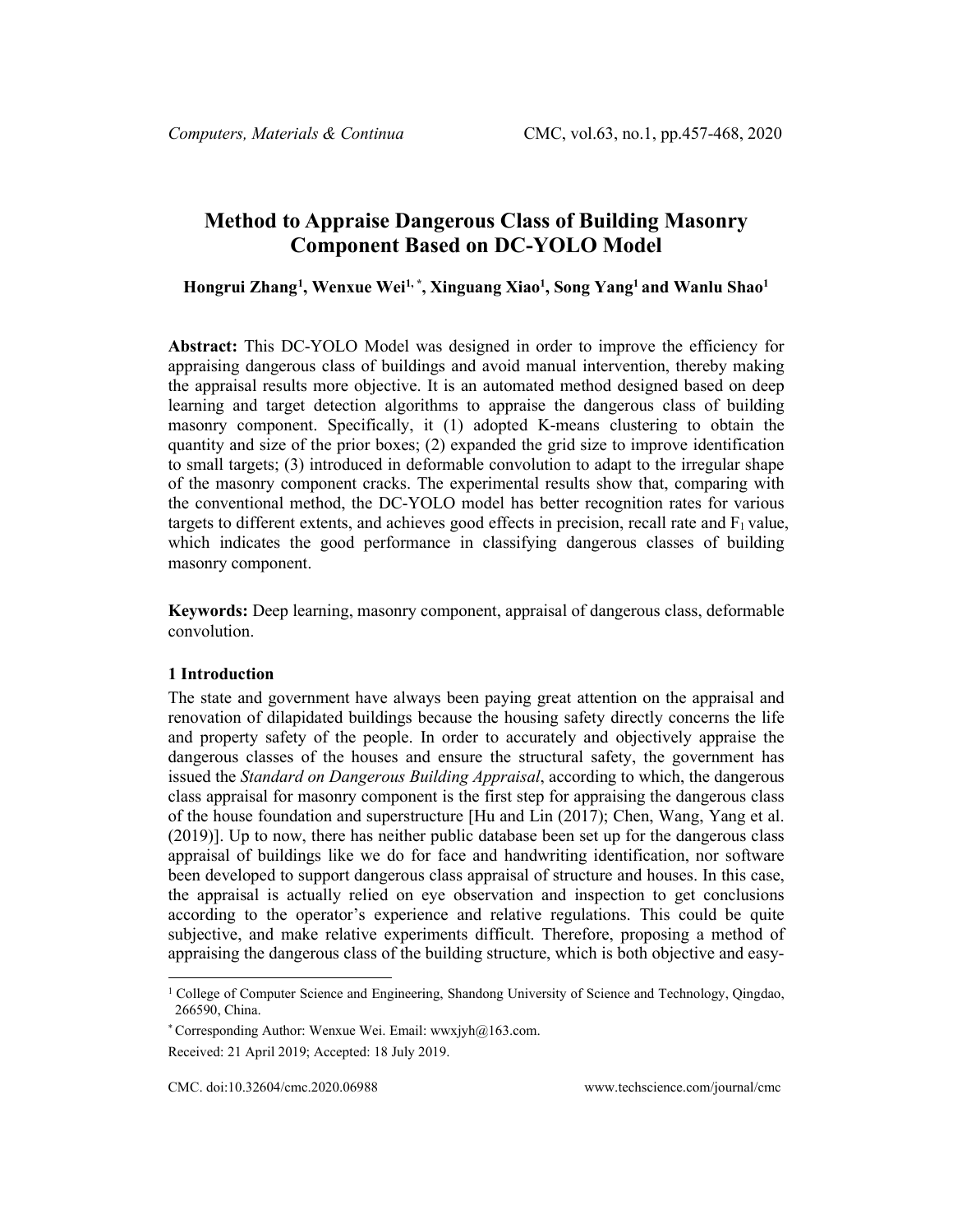# **Method to Appraise Dangerous Class of Building Masonry Component Based on DC-YOLO Model**

**Hongrui Zhan[g1](#page-0-0) , Wenxue Wei1, \*, Xinguang Xiao1 , Song Yang1 and Wanlu Shao1**

**Abstract:** This DC-YOLO Model was designed in order to improve the efficiency for appraising dangerous class of buildings and avoid manual intervention, thereby making the appraisal results more objective. It is an automated method designed based on deep learning and target detection algorithms to appraise the dangerous class of building masonry component. Specifically, it (1) adopted K-means clustering to obtain the quantity and size of the prior boxes; (2) expanded the grid size to improve identification to small targets; (3) introduced in deformable convolution to adapt to the irregular shape of the masonry component cracks. The experimental results show that, comparing with the conventional method, the DC-YOLO model has better recognition rates for various targets to different extents, and achieves good effects in precision, recall rate and  $F_1$  value, which indicates the good performance in classifying dangerous classes of building masonry component.

**Keywords:** Deep learning, masonry component, appraisal of dangerous class, deformable convolution.

### **1 Introduction**

The state and government have always been paying great attention on the appraisal and renovation of dilapidated buildings because the housing safety directly concerns the life and property safety of the people. In order to accurately and objectively appraise the dangerous classes of the houses and ensure the structural safety, the government has issued the *Standard on Dangerous Building Appraisal*, according to which, the dangerous class appraisal for masonry component is the first step for appraising the dangerous class of the house foundation and superstructure [Hu and Lin (2017); Chen, Wang, Yang et al. (2019)]. Up to now, there has neither public database been set up for the dangerous class appraisal of buildings like we do for face and handwriting identification, nor software been developed to support dangerous class appraisal of structure and houses. In this case, the appraisal is actually relied on eye observation and inspection to get conclusions according to the operator's experience and relative regulations. This could be quite subjective, and make relative experiments difficult. Therefore, proposing a method of appraising the dangerous class of the building structure, which is both objective and easy-

<span id="page-0-0"></span><sup>&</sup>lt;sup>1</sup> College of Computer Science and Engineering, Shandong University of Science and Technology, Qingdao, 266590, China.

<sup>\*</sup> Corresponding Author: Wenxue Wei. Email: wwxjyh@163.com.

Received: 21 April 2019; Accepted: 18 July 2019.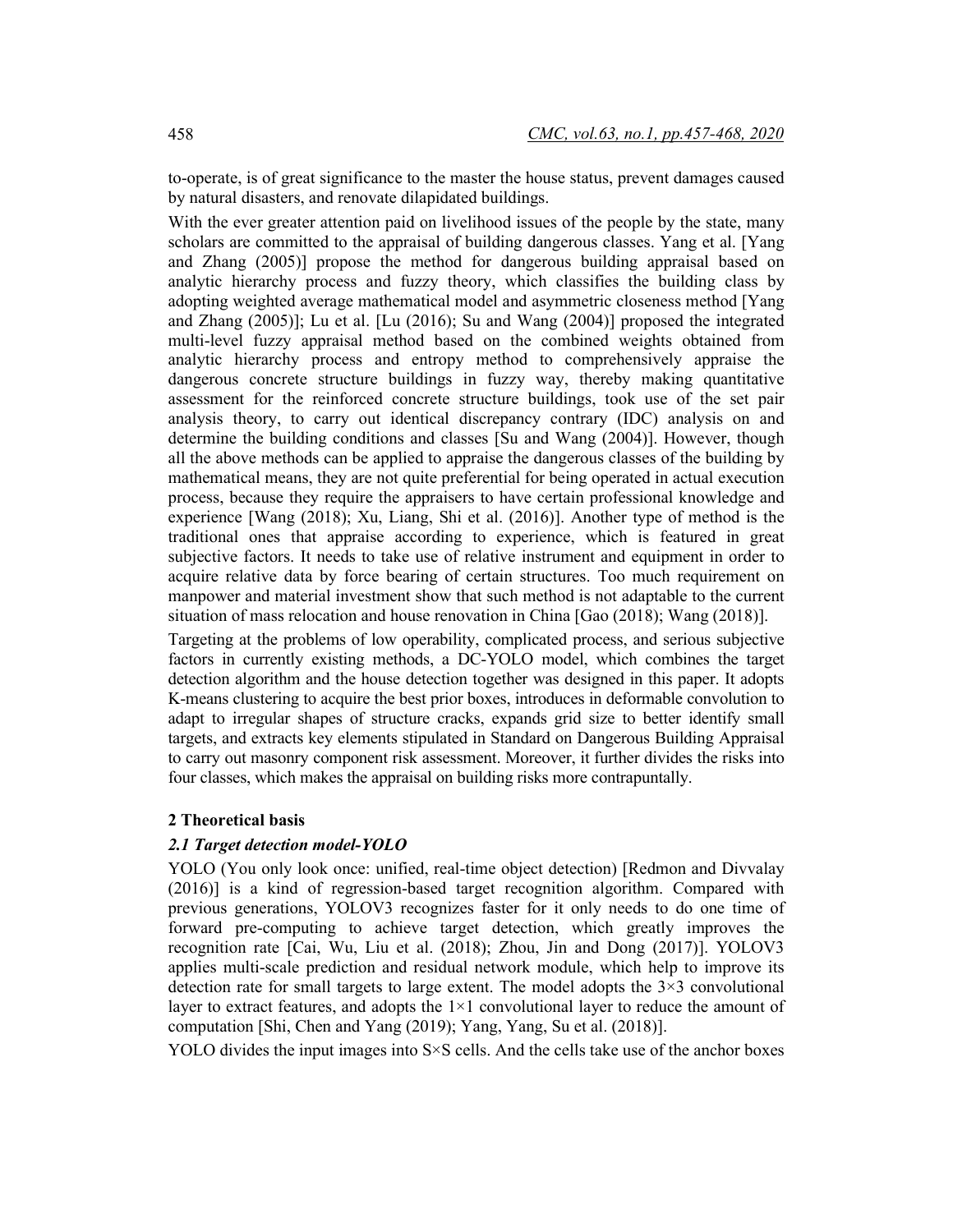to-operate, is of great significance to the master the house status, prevent damages caused by natural disasters, and renovate dilapidated buildings.

With the ever greater attention paid on livelihood issues of the people by the state, many scholars are committed to the appraisal of building dangerous classes. Yang et al. [Yang and Zhang (2005)] propose the method for dangerous building appraisal based on analytic hierarchy process and fuzzy theory, which classifies the building class by adopting weighted average mathematical model and asymmetric closeness method [Yang and Zhang (2005)]; Lu et al. [Lu (2016); Su and Wang (2004)] proposed the integrated multi-level fuzzy appraisal method based on the combined weights obtained from analytic hierarchy process and entropy method to comprehensively appraise the dangerous concrete structure buildings in fuzzy way, thereby making quantitative assessment for the reinforced concrete structure buildings, took use of the set pair analysis theory, to carry out identical discrepancy contrary (IDC) analysis on and determine the building conditions and classes [Su and Wang (2004)]. However, though all the above methods can be applied to appraise the dangerous classes of the building by mathematical means, they are not quite preferential for being operated in actual execution process, because they require the appraisers to have certain professional knowledge and experience [Wang (2018); Xu, Liang, Shi et al. (2016)]. Another type of method is the traditional ones that appraise according to experience, which is featured in great subjective factors. It needs to take use of relative instrument and equipment in order to acquire relative data by force bearing of certain structures. Too much requirement on manpower and material investment show that such method is not adaptable to the current situation of mass relocation and house renovation in China [Gao (2018); Wang (2018)].

Targeting at the problems of low operability, complicated process, and serious subjective factors in currently existing methods, a DC-YOLO model, which combines the target detection algorithm and the house detection together was designed in this paper. It adopts K-means clustering to acquire the best prior boxes, introduces in deformable convolution to adapt to irregular shapes of structure cracks, expands grid size to better identify small targets, and extracts key elements stipulated in Standard on Dangerous Building Appraisal to carry out masonry component risk assessment. Moreover, it further divides the risks into four classes, which makes the appraisal on building risks more contrapuntally.

## **2 Theoretical basis**

## *2.1 Target detection model-YOLO*

YOLO (You only look once: unified, real-time object detection) [Redmon and Divvalay (2016)] is a kind of regression-based target recognition algorithm. Compared with previous generations, YOLOV3 recognizes faster for it only needs to do one time of forward pre-computing to achieve target detection, which greatly improves the recognition rate [Cai, Wu, Liu et al. (2018); Zhou, Jin and Dong (2017)]. YOLOV3 applies multi-scale prediction and residual network module, which help to improve its detection rate for small targets to large extent. The model adopts the  $3\times3$  convolutional layer to extract features, and adopts the  $1\times1$  convolutional layer to reduce the amount of computation [Shi, Chen and Yang (2019); Yang, Yang, Su et al. (2018)].

YOLO divides the input images into  $S \times S$  cells. And the cells take use of the anchor boxes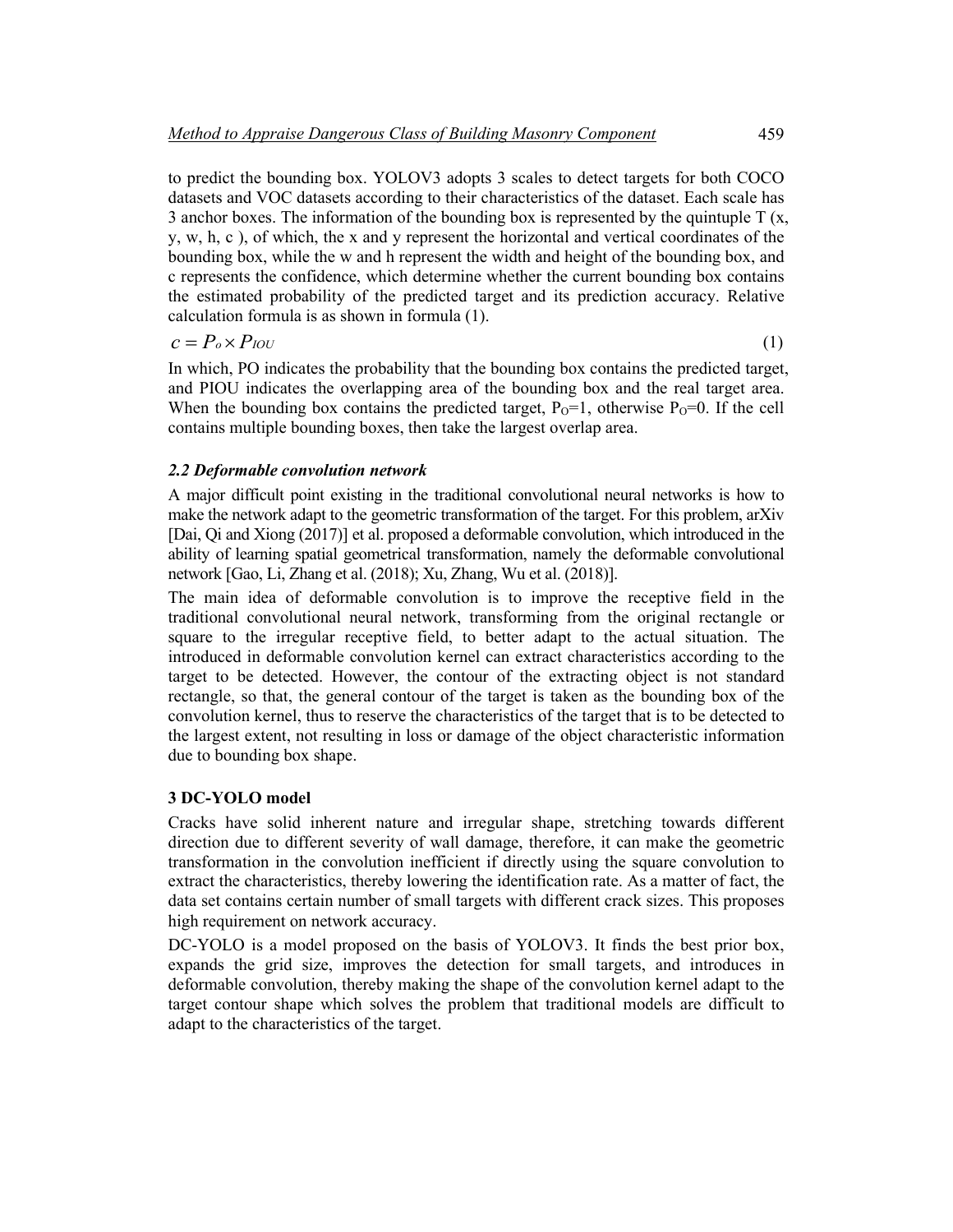to predict the bounding box. YOLOV3 adopts 3 scales to detect targets for both COCO datasets and VOC datasets according to their characteristics of the dataset. Each scale has 3 anchor boxes. The information of the bounding box is represented by the quintuple  $T(x, \theta)$ y, w, h, c ), of which, the x and y represent the horizontal and vertical coordinates of the bounding box, while the w and h represent the width and height of the bounding box, and c represents the confidence, which determine whether the current bounding box contains the estimated probability of the predicted target and its prediction accuracy. Relative calculation formula is as shown in formula (1).

$$
c = P_o \times P_{IOU} \tag{1}
$$

In which, PO indicates the probability that the bounding box contains the predicted target, and PIOU indicates the overlapping area of the bounding box and the real target area. When the bounding box contains the predicted target,  $P_0=1$ , otherwise  $P_0=0$ . If the cell contains multiple bounding boxes, then take the largest overlap area.

# *2.2 Deformable convolution network*

A major difficult point existing in the traditional convolutional neural networks is how to make the network adapt to the geometric transformation of the target. For this problem, arXiv [Dai, Qi and Xiong (2017)] et al. proposed a deformable convolution, which introduced in the ability of learning spatial geometrical transformation, namely the deformable convolutional network [Gao, Li, Zhang et al. (2018); Xu, Zhang, Wu et al. (2018)].

The main idea of deformable convolution is to improve the receptive field in the traditional convolutional neural network, transforming from the original rectangle or square to the irregular receptive field, to better adapt to the actual situation. The introduced in deformable convolution kernel can extract characteristics according to the target to be detected. However, the contour of the extracting object is not standard rectangle, so that, the general contour of the target is taken as the bounding box of the convolution kernel, thus to reserve the characteristics of the target that is to be detected to the largest extent, not resulting in loss or damage of the object characteristic information due to bounding box shape.

### **3 DC-YOLO model**

Cracks have solid inherent nature and irregular shape, stretching towards different direction due to different severity of wall damage, therefore, it can make the geometric transformation in the convolution inefficient if directly using the square convolution to extract the characteristics, thereby lowering the identification rate. As a matter of fact, the data set contains certain number of small targets with different crack sizes. This proposes high requirement on network accuracy.

DC-YOLO is a model proposed on the basis of YOLOV3. It finds the best prior box, expands the grid size, improves the detection for small targets, and introduces in deformable convolution, thereby making the shape of the convolution kernel adapt to the target contour shape which solves the problem that traditional models are difficult to adapt to the characteristics of the target.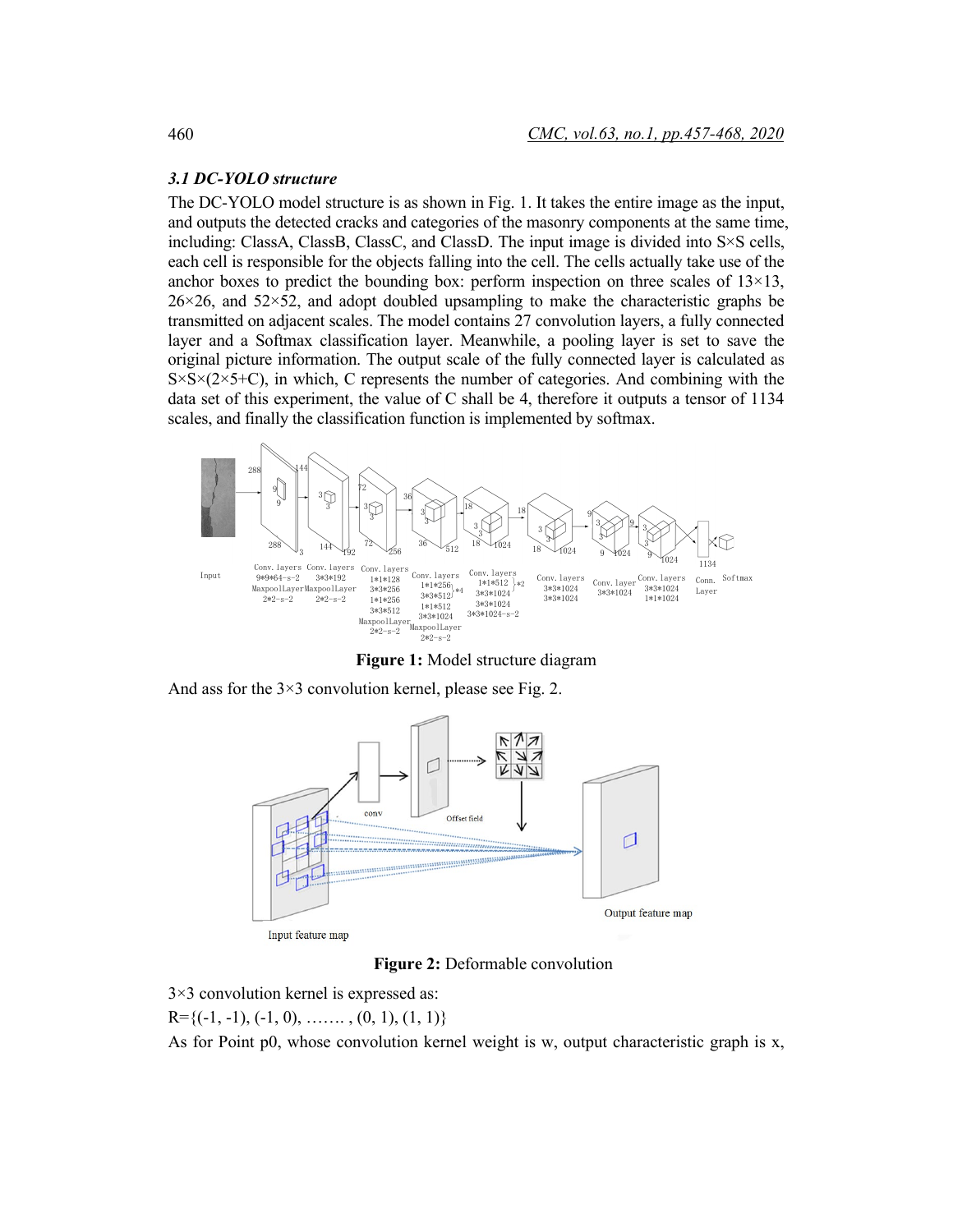# *3.1 DC-YOLO structure*

The DC-YOLO model structure is as shown in Fig. 1. It takes the entire image as the input, and outputs the detected cracks and categories of the masonry components at the same time, including: ClassA, ClassB, ClassC, and ClassD. The input image is divided into S×S cells, each cell is responsible for the objects falling into the cell. The cells actually take use of the anchor boxes to predict the bounding box: perform inspection on three scales of  $13\times13$ ,  $26\times26$ , and  $52\times52$ , and adopt doubled upsampling to make the characteristic graphs be transmitted on adjacent scales. The model contains 27 convolution layers, a fully connected layer and a Softmax classification layer. Meanwhile, a pooling layer is set to save the original picture information. The output scale of the fully connected layer is calculated as  $S \times S \times (2 \times 5+C)$ , in which, C represents the number of categories. And combining with the data set of this experiment, the value of C shall be 4, therefore it outputs a tensor of 1134 scales, and finally the classification function is implemented by softmax.



**Figure 1:** Model structure diagram

And ass for the  $3\times3$  convolution kernel, please see Fig. 2.



**Figure 2:** Deformable convolution

3×3 convolution kernel is expressed as:

 $R=\{(-1, -1), (-1, 0), \ldots, (0, 1), (1, 1)\}$ 

As for Point p0, whose convolution kernel weight is w, output characteristic graph is  $x$ ,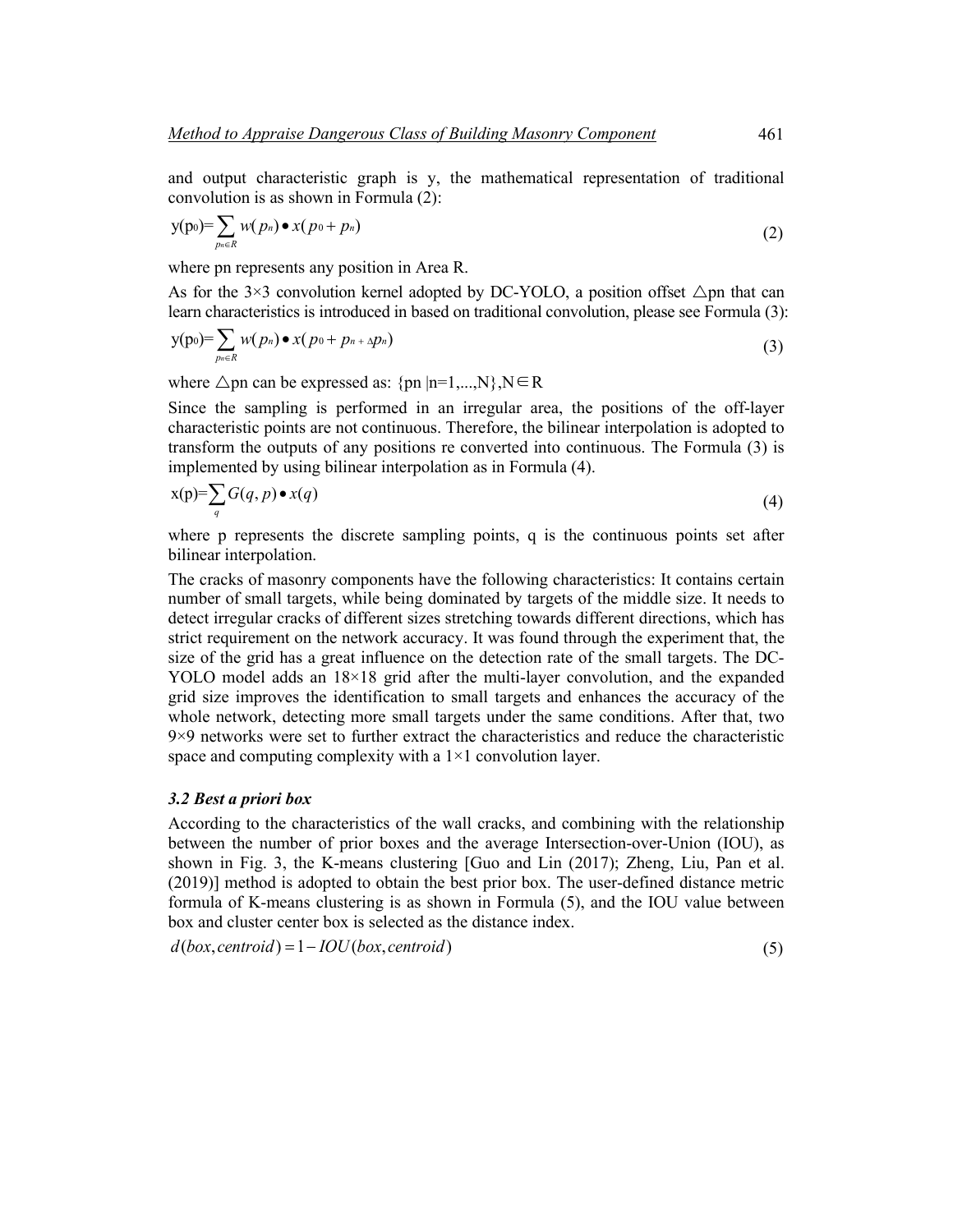and output characteristic graph is y, the mathematical representation of traditional convolution is as shown in Formula (2):

$$
y(p_0) = \sum_{p_n \in R} w(p_n) \bullet x(p_0 + p_n) \tag{2}
$$

where pn represents any position in Area R.

As for the  $3\times3$  convolution kernel adopted by DC-YOLO, a position offset  $\triangle$ pn that can learn characteristics is introduced in based on traditional convolution, please see Formula (3):

$$
y(p_0) = \sum_{p_n \in R} w(p_n) \bullet x(p_0 + p_{n+1}p_n)
$$
\n(3)

where  $\triangle$ pn can be expressed as: {pn |n=1,...,N},N∈R

Since the sampling is performed in an irregular area, the positions of the off-layer characteristic points are not continuous. Therefore, the bilinear interpolation is adopted to transform the outputs of any positions re converted into continuous. The Formula (3) is implemented by using bilinear interpolation as in Formula (4).

$$
x(p)=\sum_{q} G(q,p) \bullet x(q) \tag{4}
$$

where p represents the discrete sampling points, q is the continuous points set after bilinear interpolation.

The cracks of masonry components have the following characteristics: It contains certain number of small targets, while being dominated by targets of the middle size. It needs to detect irregular cracks of different sizes stretching towards different directions, which has strict requirement on the network accuracy. It was found through the experiment that, the size of the grid has a great influence on the detection rate of the small targets. The DC-YOLO model adds an  $18\times18$  grid after the multi-layer convolution, and the expanded grid size improves the identification to small targets and enhances the accuracy of the whole network, detecting more small targets under the same conditions. After that, two 9×9 networks were set to further extract the characteristics and reduce the characteristic space and computing complexity with a  $1\times1$  convolution layer.

#### *3.2 Best a priori box*

According to the characteristics of the wall cracks, and combining with the relationship between the number of prior boxes and the average Intersection-over-Union (IOU), as shown in Fig. 3, the K-means clustering [Guo and Lin (2017); Zheng, Liu, Pan et al. (2019)] method is adopted to obtain the best prior box. The user-defined distance metric formula of K-means clustering is as shown in Formula (5), and the IOU value between box and cluster center box is selected as the distance index.

 $d(box, centroid) = 1 - IOU(box, centroid)$  (5)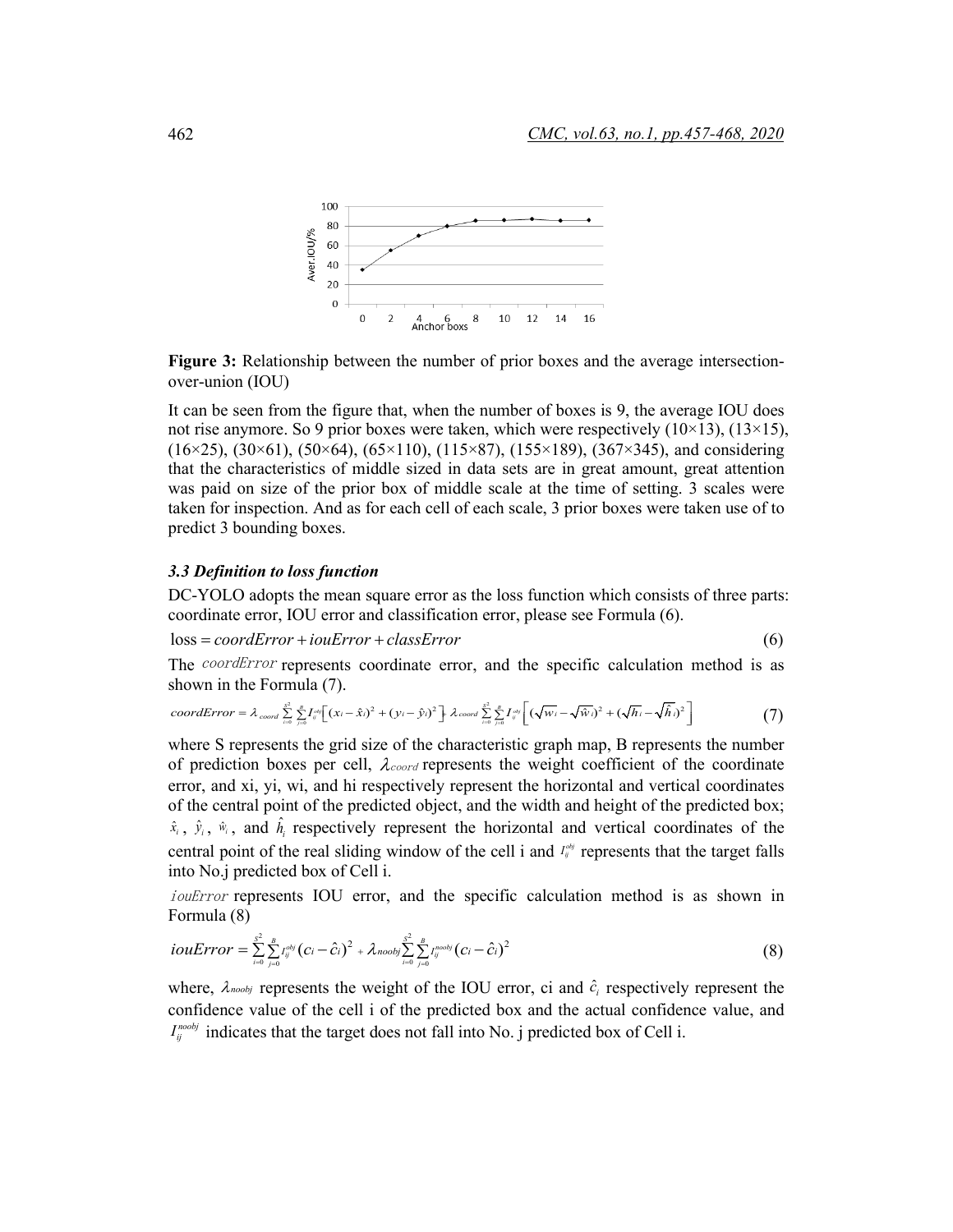

**Figure 3:** Relationship between the number of prior boxes and the average intersectionover-union (IOU)

It can be seen from the figure that, when the number of boxes is 9, the average IOU does not rise anymore. So 9 prior boxes were taken, which were respectively  $(10\times13)$ ,  $(13\times15)$ ,  $(16\times25)$ ,  $(30\times61)$ ,  $(50\times64)$ ,  $(65\times110)$ ,  $(115\times87)$ ,  $(155\times189)$ ,  $(367\times345)$ , and considering that the characteristics of middle sized in data sets are in great amount, great attention was paid on size of the prior box of middle scale at the time of setting. 3 scales were taken for inspection. And as for each cell of each scale, 3 prior boxes were taken use of to predict 3 bounding boxes.

#### *3.3 Definition to loss function*

DC-YOLO adopts the mean square error as the loss function which consists of three parts: coordinate error, IOU error and classification error, please see Formula (6).

 $loss = coordError + iouError + classError$ 

$$
(6)
$$

The *coordError* represents coordinate error, and the specific calculation method is as shown in the Formula (7).

$$
coordError = \lambda_{coord} \sum_{i=0}^{s^2} \sum_{j=0}^{p} I_{ij}^{obj} \Big[ (x_i - \hat{x}_i)^2 + (y_i - \hat{y}_i)^2 \Big] \cdot \lambda_{coord} \sum_{i=0}^{s^2} \sum_{j=0}^{p} I_{ij}^{obj} \Big[ (\sqrt{w_i} - \sqrt{\hat{w}_i})^2 + (\sqrt{h_i} - \sqrt{\hat{h}_i})^2 \Big] \tag{7}
$$

where S represents the grid size of the characteristic graph map, B represents the number of prediction boxes per cell,  $\lambda_{coord}$  represents the weight coefficient of the coordinate error, and xi, yi, wi, and hi respectively represent the horizontal and vertical coordinates of the central point of the predicted object, and the width and height of the predicted box;  $\hat{x}_i$ ,  $\hat{y}_i$ ,  $\hat{w}_i$ , and  $\hat{h}_i$  respectively represent the horizontal and vertical coordinates of the central point of the real sliding window of the cell i and  $I_{ij}^{\alpha\beta}$  represents that the target falls into No.j predicted box of Cell i.

iouError represents IOU error, and the specific calculation method is as shown in Formula (8)

$$
iouError = \sum_{i=0}^{S^2} \sum_{j=0}^{B} I_{ij}^{obj} (c_i - \hat{c}_i)^2 + \lambda_{n oobj} \sum_{i=0}^{S^2} \sum_{j=0}^{B} I_{ij}^{n oobj} (c_i - \hat{c}_i)^2
$$
(8)

where,  $\lambda_{\text{noobj}}$  represents the weight of the IOU error, ci and  $\hat{c}_i$  respectively represent the confidence value of the cell i of the predicted box and the actual confidence value, and  $I_{ij}^{n \text{cool}j}$  indicates that the target does not fall into No. j predicted box of Cell i.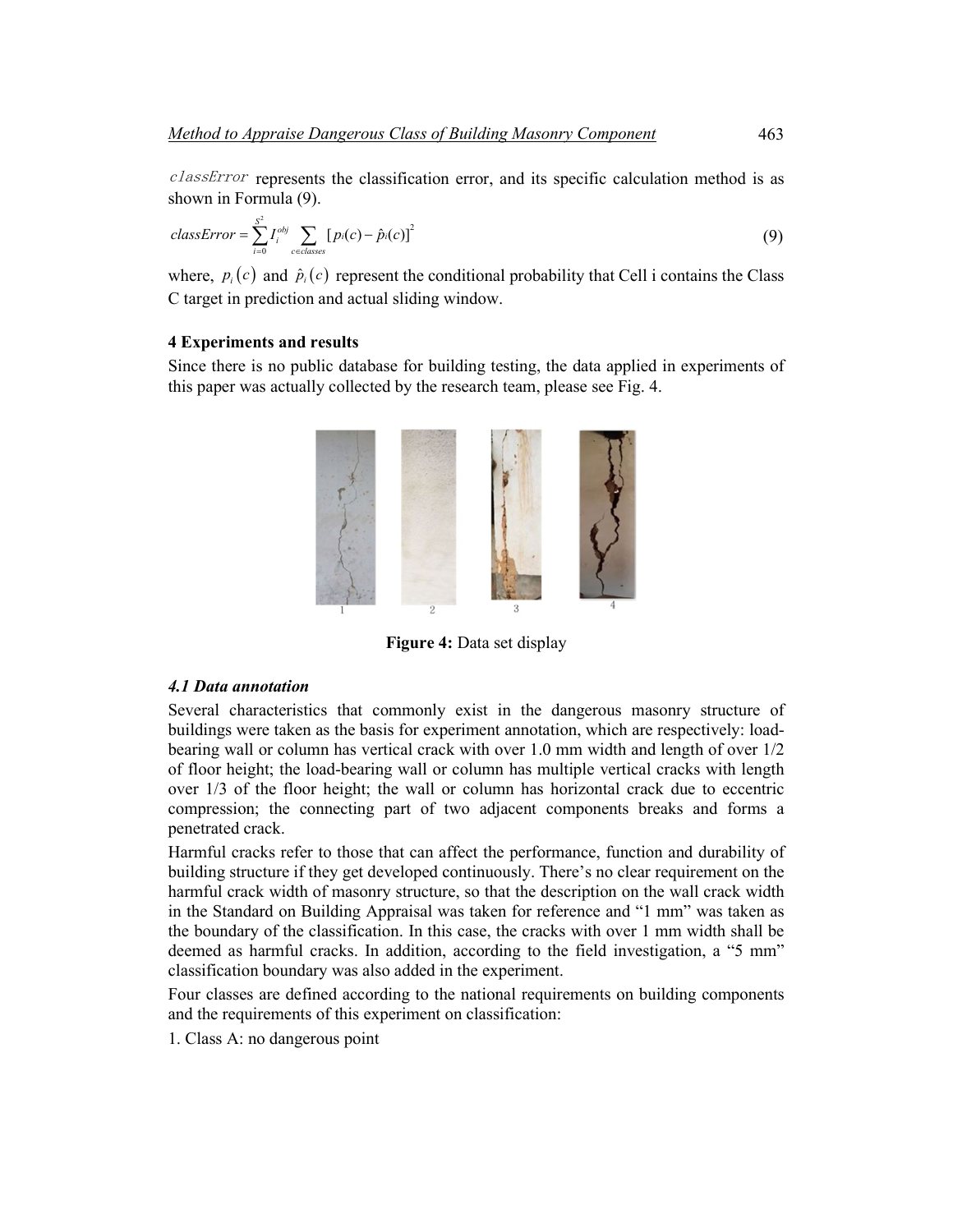classError represents the classification error, and its specific calculation method is as shown in Formula (9).

$$
classError = \sum_{i=0}^{S^2} I_i^{obj} \sum_{c \in classes} [p_i(c) - \hat{p}_i(c)]^2
$$
\n(9)

where,  $p_i(c)$  and  $\hat{p}_i(c)$  represent the conditional probability that Cell i contains the Class C target in prediction and actual sliding window.

# **4 Experiments and results**

Since there is no public database for building testing, the data applied in experiments of this paper was actually collected by the research team, please see Fig. 4.



**Figure 4:** Data set display

#### *4.1 Data annotation*

Several characteristics that commonly exist in the dangerous masonry structure of buildings were taken as the basis for experiment annotation, which are respectively: loadbearing wall or column has vertical crack with over 1.0 mm width and length of over 1/2 of floor height; the load-bearing wall or column has multiple vertical cracks with length over 1/3 of the floor height; the wall or column has horizontal crack due to eccentric compression; the connecting part of two adjacent components breaks and forms a penetrated crack.

Harmful cracks refer to those that can affect the performance, function and durability of building structure if they get developed continuously. There's no clear requirement on the harmful crack width of masonry structure, so that the description on the wall crack width in the Standard on Building Appraisal was taken for reference and "1 mm" was taken as the boundary of the classification. In this case, the cracks with over 1 mm width shall be deemed as harmful cracks. In addition, according to the field investigation, a "5 mm" classification boundary was also added in the experiment.

Four classes are defined according to the national requirements on building components and the requirements of this experiment on classification:

1. Class A: no dangerous point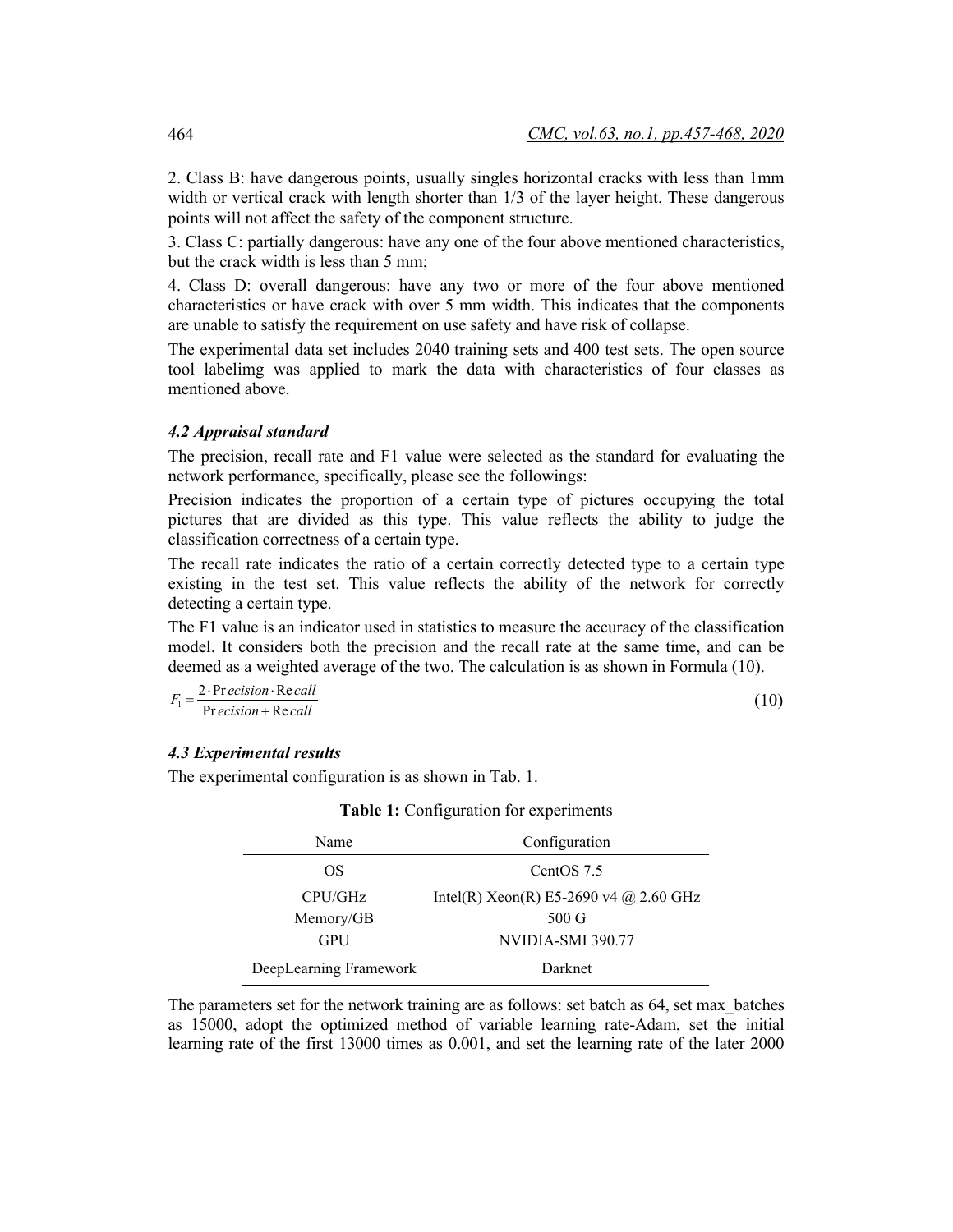2. Class B: have dangerous points, usually singles horizontal cracks with less than 1mm width or vertical crack with length shorter than 1/3 of the layer height. These dangerous points will not affect the safety of the component structure.

3. Class C: partially dangerous: have any one of the four above mentioned characteristics, but the crack width is less than 5 mm;

4. Class D: overall dangerous: have any two or more of the four above mentioned characteristics or have crack with over 5 mm width. This indicates that the components are unable to satisfy the requirement on use safety and have risk of collapse.

The experimental data set includes 2040 training sets and 400 test sets. The open source tool labelimg was applied to mark the data with characteristics of four classes as mentioned above.

### *4.2 Appraisal standard*

The precision, recall rate and F1 value were selected as the standard for evaluating the network performance, specifically, please see the followings:

Precision indicates the proportion of a certain type of pictures occupying the total pictures that are divided as this type. This value reflects the ability to judge the classification correctness of a certain type.

The recall rate indicates the ratio of a certain correctly detected type to a certain type existing in the test set. This value reflects the ability of the network for correctly detecting a certain type.

The F1 value is an indicator used in statistics to measure the accuracy of the classification model. It considers both the precision and the recall rate at the same time, and can be deemed as a weighted average of the two. The calculation is as shown in Formula (10).

$$
F_1 = \frac{2 \cdot \text{Pr } \text{ecision} \cdot \text{Re call}}{\text{Pr } \text{ecision} + \text{Re call}}
$$
\n(10)

# *4.3 Experimental results*

The experimental configuration is as shown in Tab. 1.

| Name                   | Configuration                          |  |  |
|------------------------|----------------------------------------|--|--|
| OS                     | CentOS 7.5                             |  |  |
| CPU/GHz                | Intel(R) Xeon(R) E5-2690 v4 @ 2.60 GHz |  |  |
| Memory/GB              | $500 \text{ G}$                        |  |  |
| <b>GPU</b>             | NVIDIA-SMI 390.77                      |  |  |
| DeepLearning Framework | Darknet                                |  |  |

|  |  | <b>Table 1:</b> Configuration for experiments |
|--|--|-----------------------------------------------|
|  |  |                                               |

The parameters set for the network training are as follows: set batch as 64, set max\_batches as 15000, adopt the optimized method of variable learning rate-Adam, set the initial learning rate of the first 13000 times as 0.001, and set the learning rate of the later 2000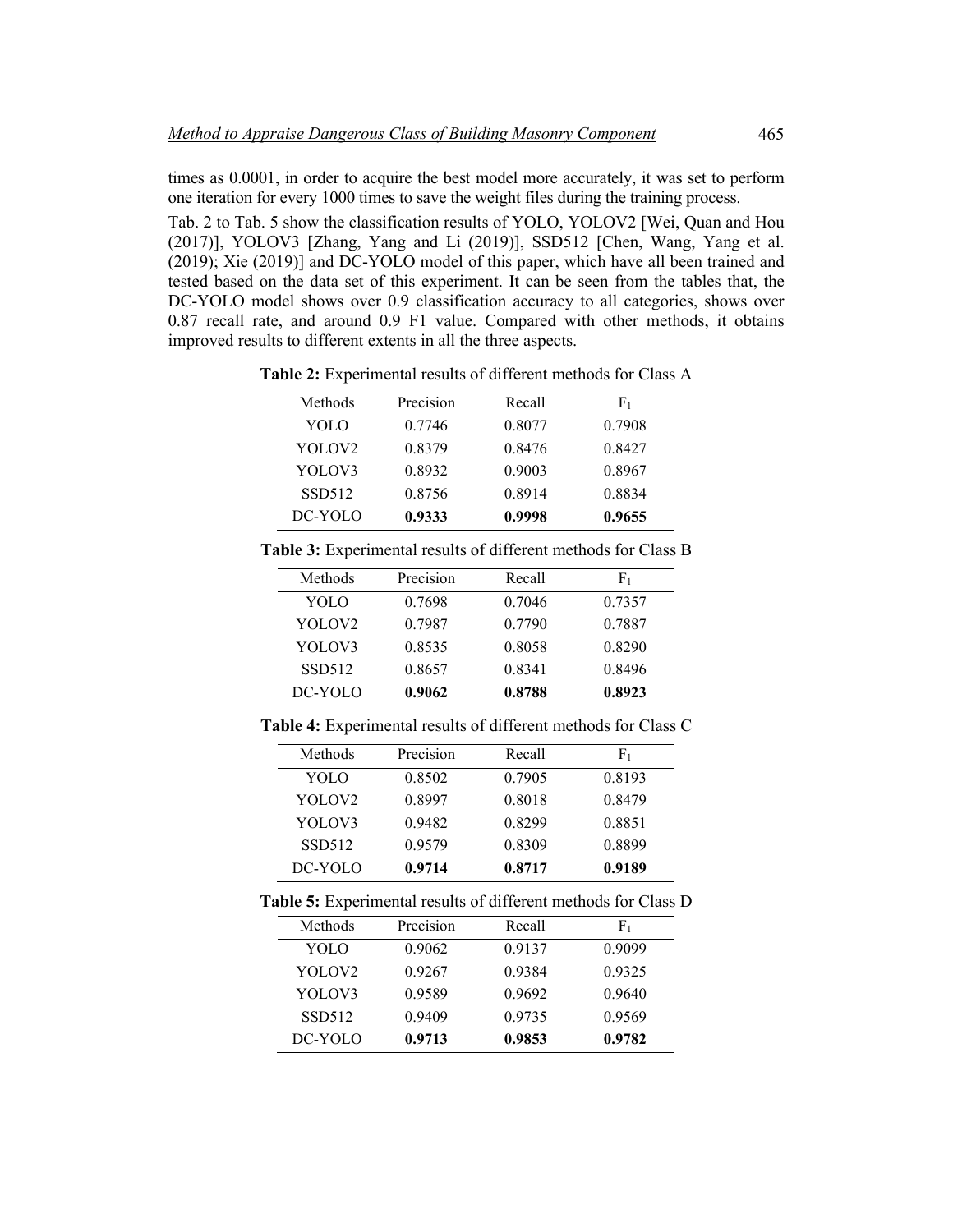times as 0.0001, in order to acquire the best model more accurately, it was set to perform one iteration for every 1000 times to save the weight files during the training process.

Tab. 2 to Tab. 5 show the classification results of YOLO, YOLOV2 [Wei, Quan and Hou (2017)], YOLOV3 [Zhang, Yang and Li (2019)], SSD512 [Chen, Wang, Yang et al. (2019); Xie (2019)] and DC-YOLO model of this paper, which have all been trained and tested based on the data set of this experiment. It can be seen from the tables that, the DC-YOLO model shows over 0.9 classification accuracy to all categories, shows over 0.87 recall rate, and around 0.9 F1 value. Compared with other methods, it obtains improved results to different extents in all the three aspects.

**Table 2:** Experimental results of different methods for Class A

| Methods            | Precision | Recall | F1     |
|--------------------|-----------|--------|--------|
| YOLO               | 0.7746    | 0.8077 | 0.7908 |
| YOLOV <sub>2</sub> | 0.8379    | 0.8476 | 0.8427 |
| YOLOV3             | 0.8932    | 0.9003 | 0.8967 |
| <b>SSD512</b>      | 0.8756    | 0.8914 | 0.8834 |
| DC-YOLO            | 0.9333    | 0.9998 | 0.9655 |

**Table 3:** Experimental results of different methods for Class B

| Methods       | Precision | Recall | F1     |
|---------------|-----------|--------|--------|
| YOLO          | 0.7698    | 0.7046 | 0.7357 |
| YOLOV2        | 0.7987    | 0.7790 | 0.7887 |
| YOLOV3        | 0.8535    | 0.8058 | 0.8290 |
| <b>SSD512</b> | 0.8657    | 0.8341 | 0.8496 |
| DC-YOLO       | 0.9062    | 0.8788 | 0.8923 |

**Table 4:** Experimental results of different methods for Class C

| Methods            | Precision | Recall | F1     |
|--------------------|-----------|--------|--------|
| YOLO               | 0.8502    | 0.7905 | 0.8193 |
| YOLOV <sub>2</sub> | 0.8997    | 0.8018 | 0.8479 |
| YOLOV3             | 0.9482    | 0.8299 | 0.8851 |
| SSD512             | 0.9579    | 0.8309 | 0.8899 |
| DC-YOLO            | 0.9714    | 0.8717 | 0.9189 |

**Table 5:** Experimental results of different methods for Class D

| Methods            | Precision | Recall | F1     |
|--------------------|-----------|--------|--------|
| YOLO               | 0.9062    | 0.9137 | 0.9099 |
| YOLOV <sub>2</sub> | 0.9267    | 0.9384 | 0.9325 |
| YOLOV3             | 0.9589    | 0.9692 | 0.9640 |
| SSD512             | 0.9409    | 0.9735 | 0.9569 |
| DC-YOLO            | 0.9713    | 0.9853 | 0.9782 |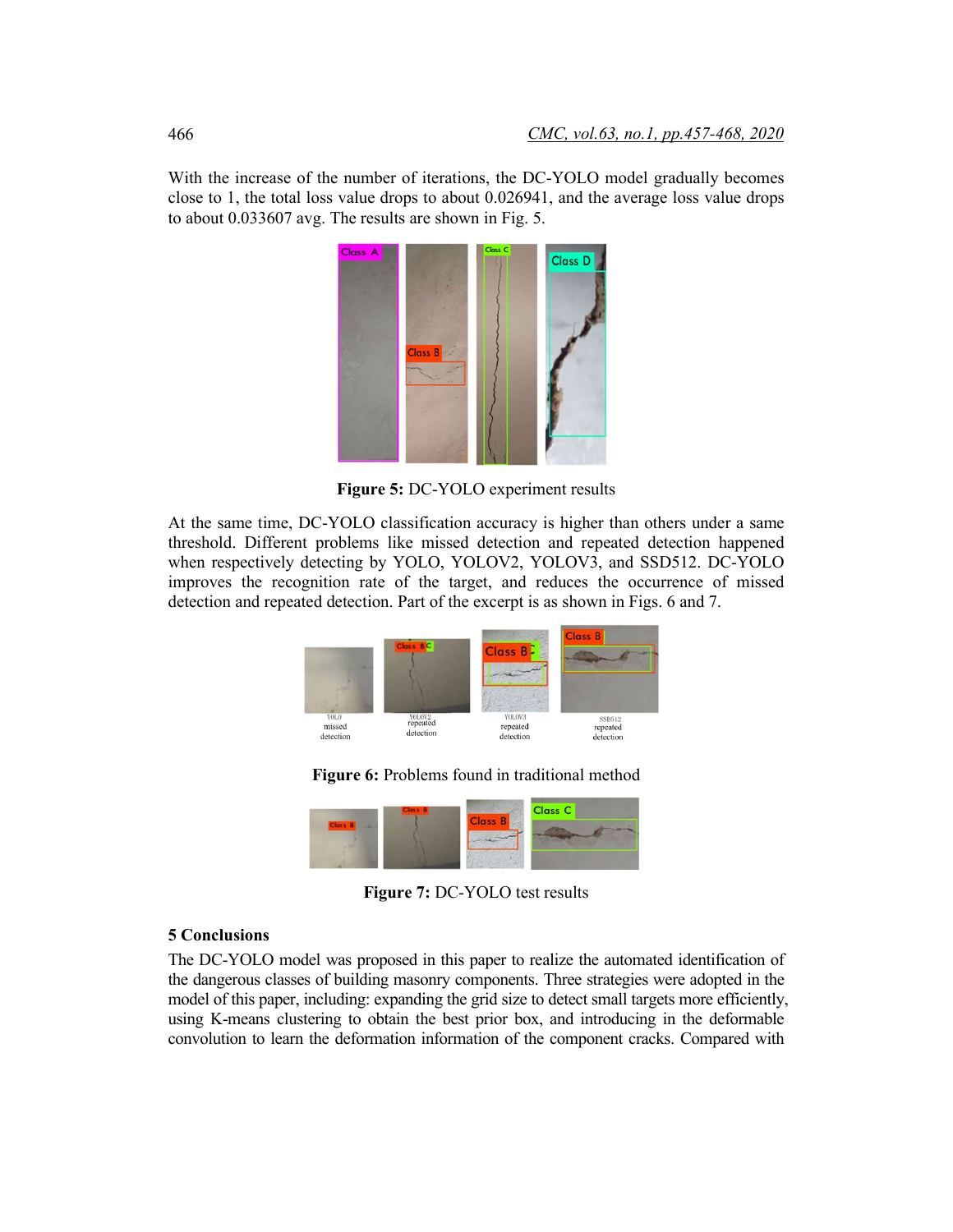With the increase of the number of iterations, the DC-YOLO model gradually becomes close to 1, the total loss value drops to about 0.026941, and the average loss value drops to about 0.033607 avg. The results are shown in Fig. 5.



**Figure 5:** DC-YOLO experiment results

At the same time, DC-YOLO classification accuracy is higher than others under a same threshold. Different problems like missed detection and repeated detection happened when respectively detecting by YOLO, YOLOV2, YOLOV3, and SSD512. DC-YOLO improves the recognition rate of the target, and reduces the occurrence of missed detection and repeated detection. Part of the excerpt is as shown in Figs. 6 and 7.



**Figure 6:** Problems found in traditional method



**Figure 7:** DC-YOLO test results

# **5 Conclusions**

The DC-YOLO model was proposed in this paper to realize the automated identification of the dangerous classes of building masonry components. Three strategies were adopted in the model of this paper, including: expanding the grid size to detect small targets more efficiently, using K-means clustering to obtain the best prior box, and introducing in the deformable convolution to learn the deformation information of the component cracks. Compared with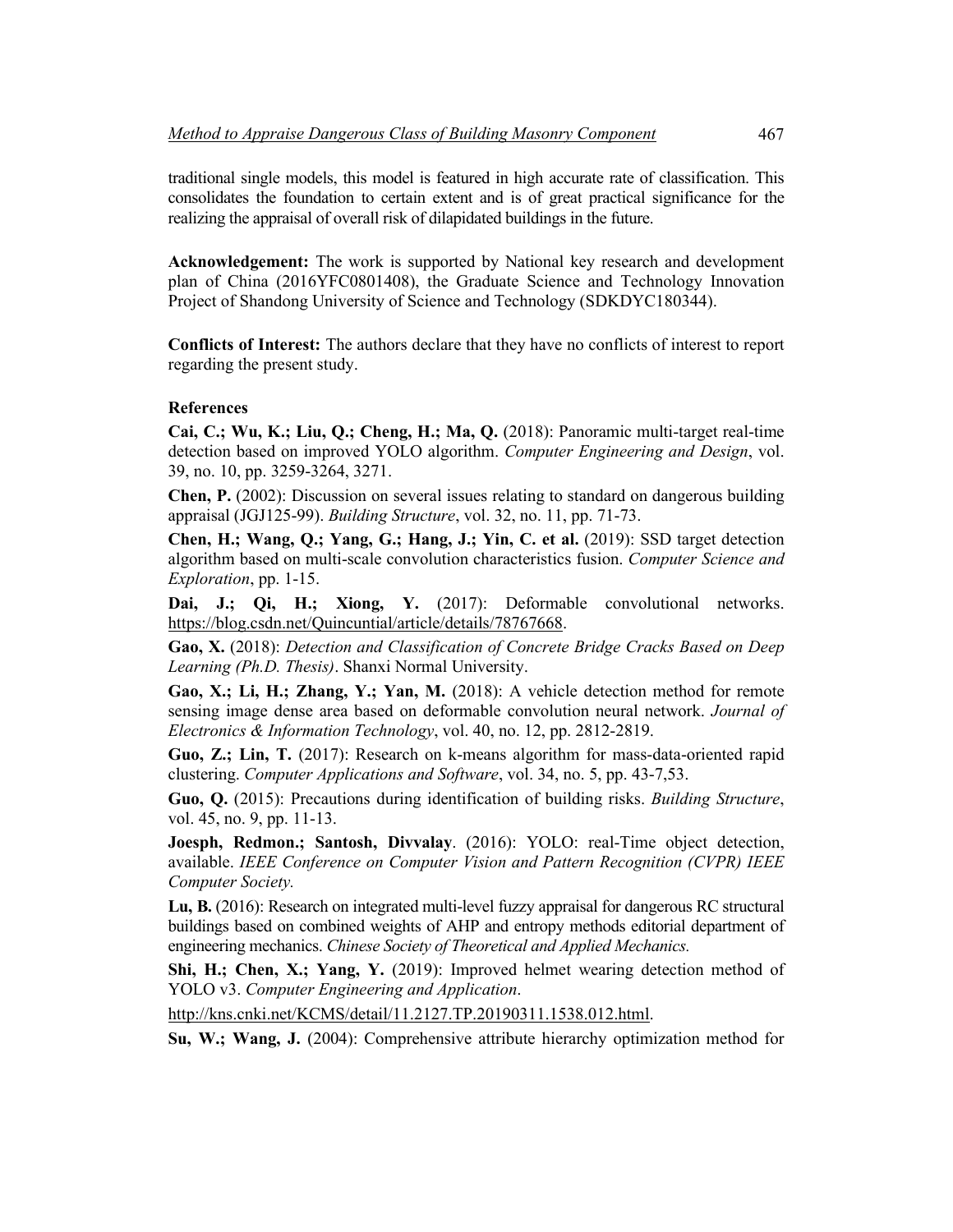traditional single models, this model is featured in high accurate rate of classification. This consolidates the foundation to certain extent and is of great practical significance for the realizing the appraisal of overall risk of dilapidated buildings in the future.

**Acknowledgement:** The work is supported by National key research and development plan of China (2016YFC0801408), the Graduate Science and Technology Innovation Project of Shandong University of Science and Technology (SDKDYC180344).

**Conflicts of Interest:** The authors declare that they have no conflicts of interest to report regarding the present study.

## **References**

**Cai, C.; Wu, K.; Liu, Q.; Cheng, H.; Ma, Q.** (2018): Panoramic multi-target real-time detection based on improved YOLO algorithm. *Computer Engineering and Design*, vol. 39, no. 10, pp. 3259-3264, 3271.

**Chen, P.** (2002): Discussion on several issues relating to standard on dangerous building appraisal (JGJ125-99). *Building Structure*, vol. 32, no. 11, pp. 71-73.

**Chen, H.; Wang, Q.; Yang, G.; Hang, J.; Yin, C. et al.** (2019): SSD target detection algorithm based on multi-scale convolution characteristics fusion. *Computer Science and Exploration*, pp. 1-15.

**Dai, J.; Qi, H.; Xiong, Y.** (2017): Deformable convolutional networks. [https://blog.csdn.net/Quincuntial/article/details/78767668.](https://blog.csdn.net/Quincuntial/article/details/78767668)

**Gao, X.** (2018): *Detection and Classification of Concrete Bridge Cracks Based on Deep Learning (Ph.D. Thesis)*. Shanxi Normal University.

**Gao, X.; Li, H.; Zhang, Y.; Yan, M.** (2018): A vehicle detection method for remote sensing image dense area based on deformable convolution neural network. *Journal of Electronics & Information Technology*, vol. 40, no. 12, pp. 2812-2819.

**Guo, Z.; Lin, T.** (2017): Research on k-means algorithm for mass-data-oriented rapid clustering. *Computer Applications and Software*, vol. 34, no. 5, pp. 43-7,53.

**Guo, Q.** (2015): Precautions during identification of building risks. *Building Structure*, vol. 45, no. 9, pp. 11-13.

**Joesph, Redmon.; Santosh, Divvalay**. (2016): YOLO: real-Time object detection, available. *IEEE Conference on Computer Vision and Pattern Recognition (CVPR) IEEE Computer Society.*

**Lu, B.** (2016): Research on integrated multi-level fuzzy appraisal for dangerous RC structural buildings based on combined weights of AHP and entropy methods editorial department of engineering mechanics. *Chinese Society of Theoretical and Applied Mechanics.*

**Shi, H.; Chen, X.; Yang, Y.** (2019): Improved helmet wearing detection method of YOLO v3. *Computer Engineering and Application*.

[http://kns.cnki.net/KCMS/detail/11.2127.TP.20190311.1538.012.html.](http://kns.cnki.net/KCMS/detail/11.2127.TP.20190311.1538.012.html)

**Su, W.; Wang, J.** (2004): Comprehensive attribute hierarchy optimization method for